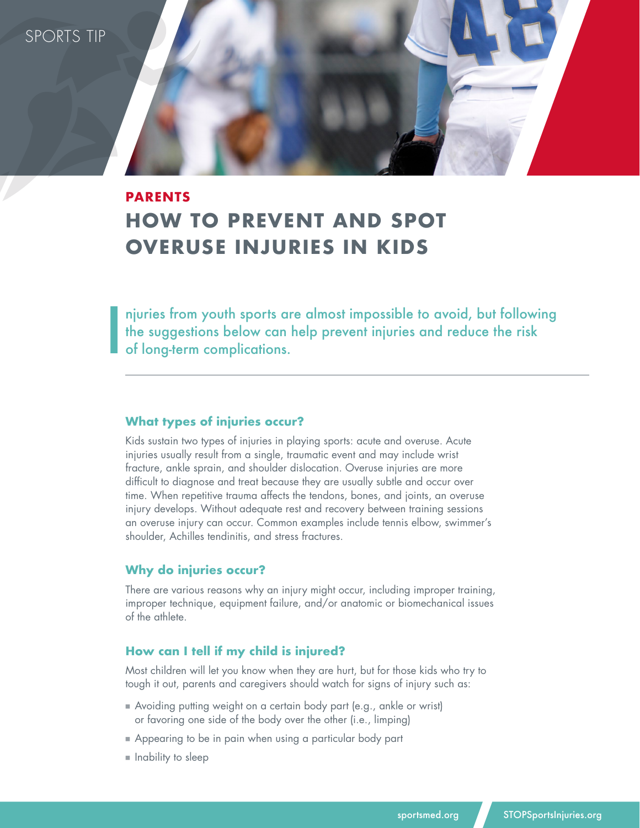SPORTS TIP

I

# **PARENTS HOW TO PREVENT AND SPOT OVERUSE INJURIES IN KIDS**

njuries from youth sports are almost impossible to avoid, but following the suggestions below can help prevent injuries and reduce the risk of long-term complications.

#### **What types of injuries occur?**

Kids sustain two types of injuries in playing sports: acute and overuse. Acute injuries usually result from a single, traumatic event and may include wrist fracture, ankle sprain, and shoulder dislocation. Overuse injuries are more difficult to diagnose and treat because they are usually subtle and occur over time. When repetitive trauma affects the tendons, bones, and joints, an overuse injury develops. Without adequate rest and recovery between training sessions an overuse injury can occur. Common examples include tennis elbow, swimmer's shoulder, Achilles tendinitis, and stress fractures.

#### **Why do injuries occur?**

There are various reasons why an injury might occur, including improper training, improper technique, equipment failure, and/or anatomic or biomechanical issues of the athlete.

#### **How can I tell if my child is injured?**

Most children will let you know when they are hurt, but for those kids who try to tough it out, parents and caregivers should watch for signs of injury such as:

- Avoiding putting weight on a certain body part (e.g., ankle or wrist) or favoring one side of the body over the other (i.e., limping)
- **Appearing to be in pain when using a particular body part**
- **n** Inability to sleep